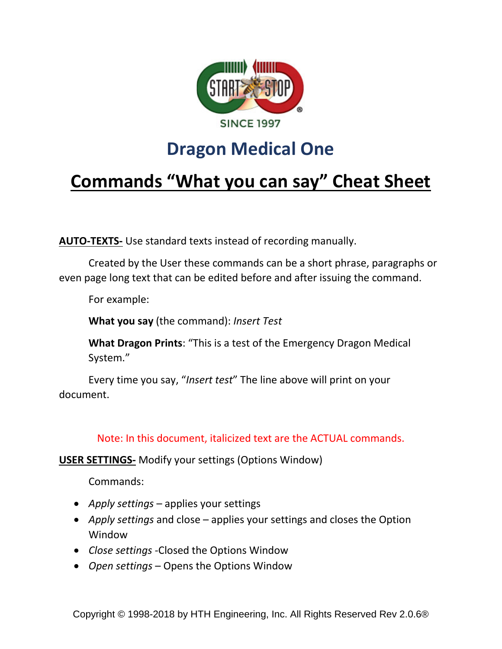

## **Dragon Medical One**

# **Commands "What you can say" Cheat Sheet**

**AUTO-TEXTS-** Use standard texts instead of recording manually.

Created by the User these commands can be a short phrase, paragraphs or even page long text that can be edited before and after issuing the command.

For example:

**What you say** (the command): *Insert Test*

**What Dragon Prints**: "This is a test of the Emergency Dragon Medical System."

Every time you say, "*Insert test*" The line above will print on your document.

Note: In this document, italicized text are the ACTUAL commands.

**USER SETTINGS-** Modify your settings (Options Window)

- *Apply settings* applies your settings
- *Apply settings* and close applies your settings and closes the Option Window
- *Close settings -*Closed the Options Window
- *Open settings* Opens the Options Window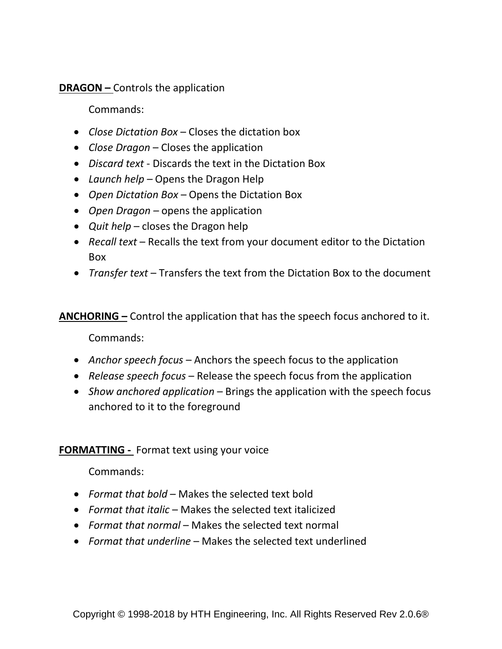**DRAGON –** Controls the application

Commands:

- *Close Dictation Box* Closes the dictation box
- *Close Dragon* Closes the application
- *Discard text*  Discards the text in the Dictation Box
- *Launch help –* Opens the Dragon Help
- *Open Dictation Box*  Opens the Dictation Box
- *Open Dragon –* opens the application
- *Quit help*  closes the Dragon help
- *Recall text* Recalls the text from your document editor to the Dictation Box
- *Transfer text*  Transfers the text from the Dictation Box to the document

**ANCHORING –** Control the application that has the speech focus anchored to it.

Commands:

- *Anchor speech focus*  Anchors the speech focus to the application
- *Release speech focus*  Release the speech focus from the application
- *Show anchored application* Brings the application with the speech focus anchored to it to the foreground

### **FORMATTING -** Format text using your voice

- *Format that bold*  Makes the selected text bold
- *Format that italic*  Makes the selected text italicized
- *Format that normal* Makes the selected text normal
- *Format that underline*  Makes the selected text underlined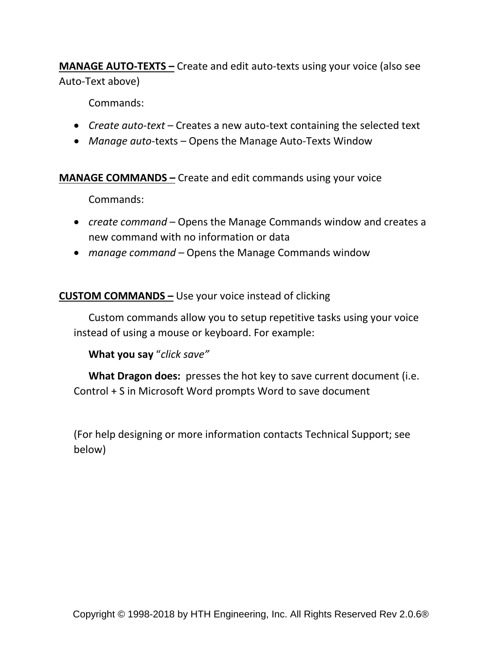**MANAGE AUTO-TEXTS –** Create and edit auto-texts using your voice (also see Auto-Text above)

Commands:

- *Create auto-text*  Creates a new auto-text containing the selected text
- *Manage auto*-texts Opens the Manage Auto-Texts Window

**MANAGE COMMANDS –** Create and edit commands using your voice

Commands:

- *create command*  Opens the Manage Commands window and creates a new command with no information or data
- *manage command*  Opens the Manage Commands window

**CUSTOM COMMANDS –** Use your voice instead of clicking

Custom commands allow you to setup repetitive tasks using your voice instead of using a mouse or keyboard. For example:

**What you say** "*click save"*

**What Dragon does:** presses the hot key to save current document (i.e. Control + S in Microsoft Word prompts Word to save document

(For help designing or more information contacts Technical Support; see below)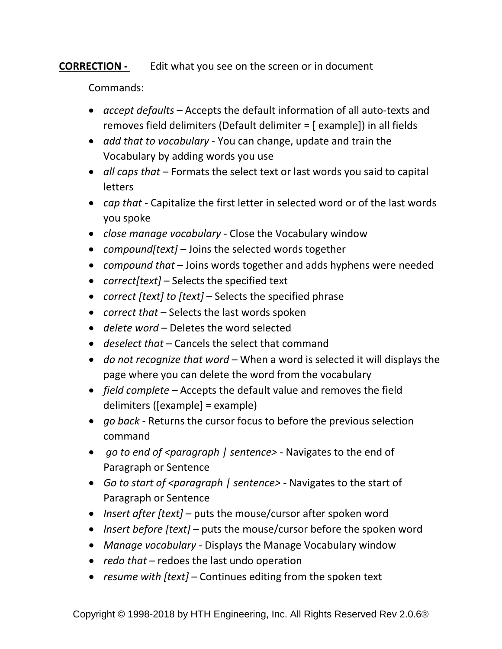### **CORRECTION -** Edit what you see on the screen or in document

- *accept defaults*  Accepts the default information of all auto-texts and removes field delimiters (Default delimiter = [ example]) in all fields
- *add that to vocabulary*  You can change, update and train the Vocabulary by adding words you use
- *all caps that* Formats the select text or last words you said to capital letters
- *cap that* Capitalize the first letter in selected word or of the last words you spoke
- *close manage vocabulary*  Close the Vocabulary window
- *compound[text]*  Joins the selected words together
- *compound that* Joins words together and adds hyphens were needed
- *correct[text]*  Selects the specified text
- *correct [text] to [text]*  Selects the specified phrase
- *correct that* Selects the last words spoken
- *delete word*  Deletes the word selected
- *deselect that* Cancels the select that command
- *do not recognize that word* When a word is selected it will displays the page where you can delete the word from the vocabulary
- *field complete –* Accepts the default value and removes the field delimiters ([example] = example)
- *go back*  Returns the cursor focus to before the previous selection command
- *go to end of <paragraph | sentence>*  Navigates to the end of Paragraph or Sentence
- *Go to start of <paragraph | sentence>* Navigates to the start of Paragraph or Sentence
- *Insert after [text]*  puts the mouse/cursor after spoken word
- *Insert before [text] –* puts the mouse/cursor before the spoken word
- *Manage vocabulary*  Displays the Manage Vocabulary window
- *redo that* redoes the last undo operation
- *resume with [text]*  Continues editing from the spoken text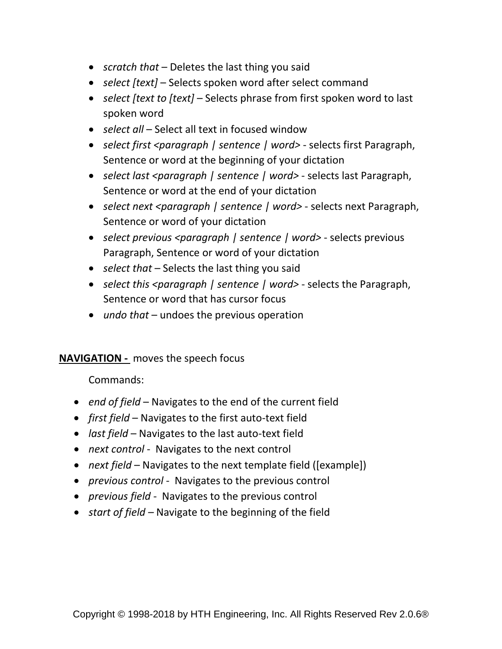- *scratch that* Deletes the last thing you said
- *select [text]*  Selects spoken word after select command
- *select [text to [text]*  Selects phrase from first spoken word to last spoken word
- *select all* Select all text in focused window
- *select first <paragraph | sentence | word>* selects first Paragraph, Sentence or word at the beginning of your dictation
- *select last <paragraph | sentence | word>* selects last Paragraph, Sentence or word at the end of your dictation
- *select next <paragraph | sentence | word>* selects next Paragraph, Sentence or word of your dictation
- *select previous <paragraph | sentence | word>* selects previous Paragraph, Sentence or word of your dictation
- *select that* Selects the last thing you said
- *select this <paragraph | sentence | word>* selects the Paragraph, Sentence or word that has cursor focus
- *undo that* undoes the previous operation

#### **NAVIGATION -** moves the speech focus

- *end of field*  Navigates to the end of the current field
- *first field*  Navigates to the first auto-text field
- *last field*  Navigates to the last auto-text field
- *next control*  Navigates to the next control
- *next field* Navigates to the next template field ([example])
- *previous control*  Navigates to the previous control
- *previous field*  Navigates to the previous control
- *start of field –* Navigate to the beginning of the field